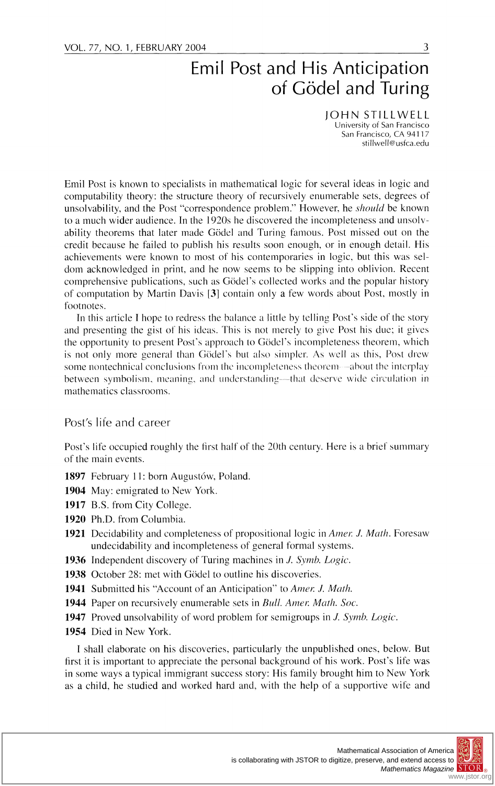# **Emil Post and His Anticipation of Godel and Turing**

**J O H N S T I L L W E L L University of San Francisco San Francisco, CA 94117 stillwell@usfca.edu** 

**Emil Post is known to specialists in mathematical logic for several ideas in logic and computability theory: the structure theory of recursively enumerable sets, degrees of unsolvability, and the Post "correspondence problem." However, he should be known to a much wider audience. In the 1920s he discovered the incompleteness and unsolv**ability theorems that later made Gödel and Turing famous. Post missed out on the credit because he failed to publish his results soon enough, or in enough detail. His **achievements were known to most of his contemporaries in logic, but this was sel**dom acknowledged in print, and he now seems to be slipping into oblivion. Recent **comprehensive publications, such as Godel's collected works and the popular history of computation by Martin Davis [3] contain only a few words about Post, mostly in footnotes.** 

In this article I hope to redress the balance a little by telling Post's side of the story and presenting the gist of his ideas. This is not merely to give Post his due; it gives **the opportunity to present Post's approach to Godel's incompleteness theorern, wllich**  is not only more general than Gödel's but also simpler. As well as this, Post drew some nontechnical conclusions from the incompleteness theorem—about the interplay between symbolism, meaning, and understanding—that deserve wide circulation in **mathematics classrooms.** 

**Post's life and career** 

Post's life occupied roughly the first half of the 20th century. Here is a brief summary **of the main events.** 

- 1897 February 11: born Augustów, Poland.
- **1904 May: emigrated to New York.**
- **1917 B.S. from City College.**
- **1920 Ph.D. from Columbia.**
- **1921** Decidability and completeness of propositional logic in *Amer. J. Math.* Foresaw **undecidability and incompleteness of general formal systems.**
- **1936** Independent discovery of Turing machines in *J. Symb. Logic.*
- **1938** October 28: met with Gödel to outline his discoveries.
- **1941** Submitted his "Account of an Anticipation" to *Amer. J. Math.*
- **1944** Paper on recursively enumerable sets in *Bull. Amer. Math. Soc.*
- **1947 Proved unsolvability of word problem for semigroups in J. Symb. Logic.**
- **1954 Died in New York.**

**I shall elaborate on his discoveries, particularly the unpublished ones, below. But first it is important to appreciate the personal background of his work. Post's life was in some ways a typical immigrant success story: His family brought him to New York as a child, he studied and worked hard and, with the help of a supportive wife and** 

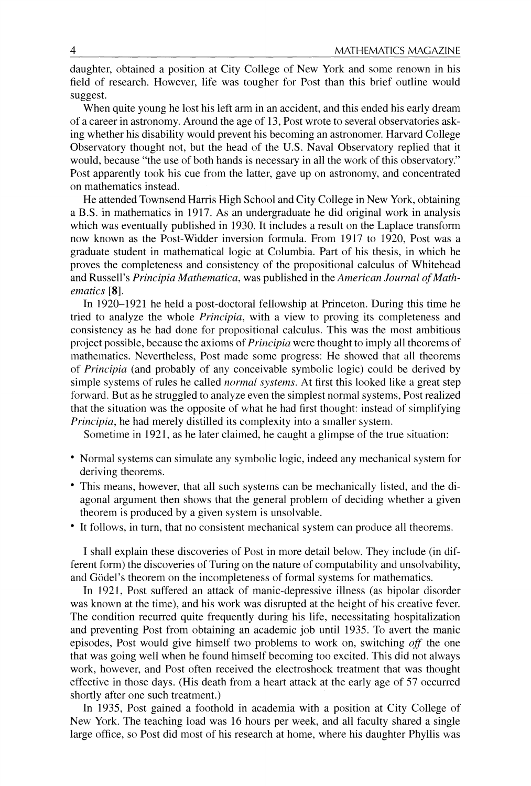**daughter, obtained a position at City College of New York and some renown in his field of research. However, life was tougher for Post than this brief outline would suggest.** 

**When quite young he lost his left arm in an accident, and this ended his early dream of a career in astronomy. Around the age of 13, Post wrote to several observatories asking whether his disability would prevent his becoming an astronomer. Harvard College Observatory thought not, but the head of the U.S. Naval Observatory replied that it would, because "the use of both hands is necessary in all the work of this observatory." Post apparently took his cue from the latter, gave up on astronomy, and concentrated on mathematics instead.** 

**He attended Townsend Harris High School and City College in New York, obtaining a B.S. in mathematics in 1917. As an undergraduate he did original work in analysis which was eventually published in 1930. It includes a result on the Laplace transform now known as the Post-Widder inversion formula. From 1917 to 1920, Post was a graduate student in mathematical logic at Columbia. Part of his thesis, in which he proves the completeness and consistency of the propositional calculus of Whitehead and Russell's Principia Mathematica, was published in the American Journal of Mathematics [81.** 

**In 1920-1921 he held a post-doctoral fellowship at Princeton. During this time he tried to analyze the whole Principia, with a view to proving its completeness and consistency as he had done for propositional calculus. This was the most ambitious project possible, because the axioms of Principia were thought to imply all theorems of mathematics. Nevertheless, Post made some progress: He showed that all theorems of Principia (and probably of any conceivable symbolic logic) could be derived by simple systems of rules he called normal systems. At first this looked like a great step forward. But as he struggled to analyze even the simplest normal systems, Post realized that the situation was the opposite of what he had first thought: instead of simplifying Principia, he had merely distilled its complexity into a smaller system.** 

**Sometime in 1921, as he later claimed, he caught a glimpse of the true situation:** 

- **\* Normal systems can simulate any symbolic logic, indeed any mechanical system for deriving theorems.**
- **\* This means, however, that all such systems can be mechanically listed, and the diagonal argument then shows that the general problem of deciding whether a given theorem is produced by a given system is unsolvable.**
- **\* It follows, in turn, that no consistent mechanical system can produce all theorems.**

**I shall explain these discoveries of Post in more detail below. They include (in different form) the discoveries of Turing on the nature of computability and unsolvability,**  and Gödel's theorem on the incompleteness of formal systems for mathematics.

**In 1921, Post suffered an attack of manic-depressive illness (as bipolar disorder was known at the time), and his work was disrupted at the height of his creative fever. The condition recurred quite frequently during his life, necessitating hospitalization and preventing Post from obtaining an academic job until 1935. To avert the manic**  episodes, Post would give himself two problems to work on, switching off the one **that was going well when he found himself becoming too excited. This did not always work, however, and Post often received the electroshock treatment that was thought effective in those days. (His death from a heart attack at the early age of 57 occurred shortly after one such treatment.)** 

**In 1935, Post gained a foothold in academia with a position at City College of New York. The teaching load was 16 hours per week, and all faculty shared a single large office, so Post did most of his research at home, where his daughter Phyllis was**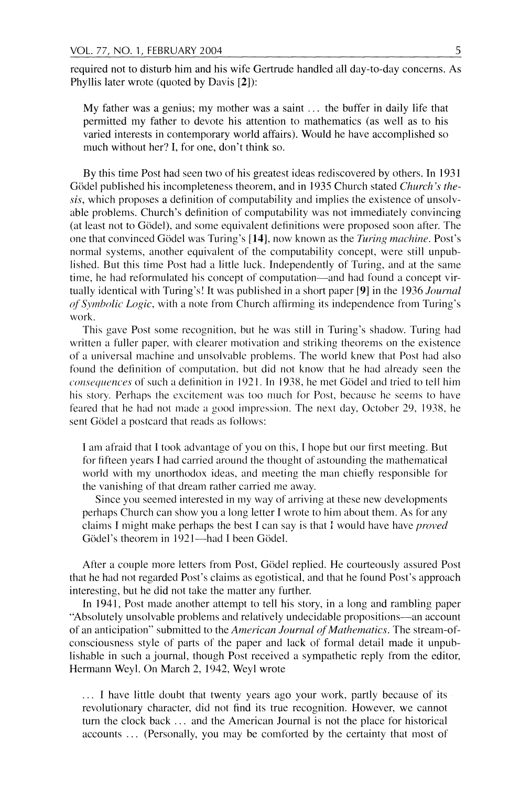**required not to disturb him and his wife Gertrude handled all day-to-day concerns. As Phyllis later wrote (quoted by Davis [2]):** 

**My father was a genius; my mother was a saint ... the buffer in daily life that permitted my father to devote his attention to mathematics (as well as to his varied interests in contemporary world affairs). Would he have accomplished so mueh without her? I, for one, don't think so.** 

**By this time Post had seen two of his greatest ideas rediseovered by others. In 1931**  Gödel published his incompleteness theorem, and in 1935 Church stated *Church's the***sis, which proposes a definition of computability and implies the existence of unsolvable problems. Church's definition of computability was not immediately eonvincing (at least not to Godel), and some equivalent definitions were proposed soon after. The one that convinced Godel was Turing's [14], now known as the Turing machine. Post's normal systems, another equivalent of the computability concept, were still unpublished. But this time Post had a little luck. Independently of Turing, and at the same**  time, he had reformulated his concept of computation—and had found a concept vir**tually identical with Turing's! It was published in a short paper [9] in the 1936 Journal f Symbolic Logic, with a note from Church affirming its independence from Turing's work.** 

**This gave Post some recognition, but he was still in Turing's shadow. Turing had written a fuller paper, with clearer motivation and striking theorems on the existence**  of a universal machine and unsolvable problems. The world knew that Post had also found the definition of computation, but did not know that he had already seen the *consequences* of such a definition in 1921. In 1938, he met Gödel and tried to tell him **his story. Perhaps the excitement was too much for Post, because he seems to have** feared that he had not made a good impression. The next day, October 29, 1938, he sent Gödel a postcard that reads as follows:

**I am afraid that I took advantage of you on this, I hope but our first meeting. But for tifteen years I had carried around the thought of astounding the mathematical world with my unorthodox ideas, and meeting the man chiefly responsible for the vanishing of that dream rather carried me away.** 

**Since you seemed interested in my way of arriving at these new developments perhaps Church can show you a long letter I wrote to him about them. As for any claims I might make perhaps the best I can say is that I would have have** *proved* Gödel's theorem in 1921—had I been Gödel.

After a couple more letters from Post, Gödel replied. He courteously assured Post **that he had not regarded Post's claims as egotistical, and that he found Post's approach interesting, but he did not take the matter any further.** 

**In 1941, Post made another attempt to tell his story, in a long and rambling paper**  "Absolutely unsolvable problems and relatively undecidable propositions-an account **of an anticipation" submitted to the American Journal of Mathematics. The stream-ofconsciousness style of parts of the paper and lack of formal detail made it unpublishable in such a journal, though Post received a sympathetic reply from the editor, Hermann Weyl. On March 2, 1942, Weyl wrote** 

**... I have little doubt that twenty years ago your work, partly because of its: revolutionary character, did not find its true recognition. However, we cannot turn the clock back ... and the American Journal is not the place for historical accounts ... (Personally, you may be comforted by the certainty that most of**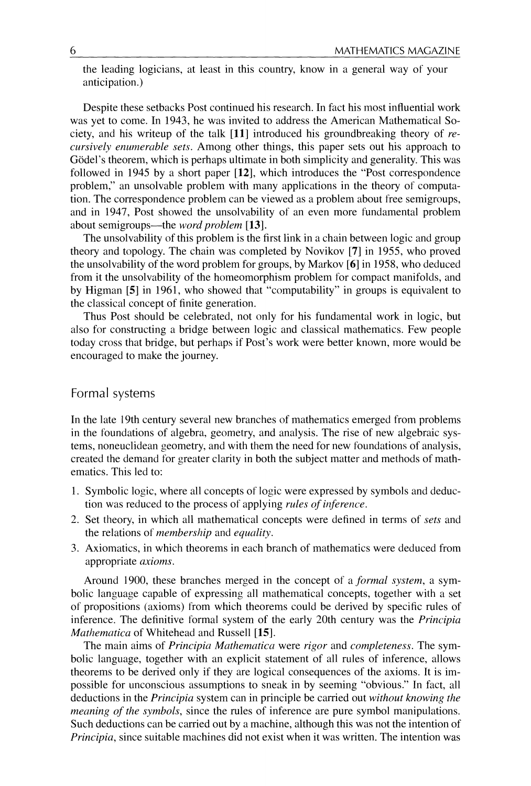**the leading logicians, at least in this country, know in a general way of your anticipation.)** 

**Despite these setbacks Post continued his research. In fact his most influential work was yet to come. In 1943, he was invited to address the American Mathematical Society, and his writeup of the talk [11] introduced his groundbreaking theory of recursively enumerable sets. Among other things, this paper sets out his approach to Godel's theorem, which is perhaps ultimate in both simplicity and generality. This was followed in 1945 by a short paper [12], which introduces the "Post correspondence problem," an unsolvable problem with many applications in the theory of computation. The correspondence problem can be viewed as a problem about free semigroups, and in 1947, Post showed the unsolvability of an even more fundamental problem**  about semigroups—the word problem [13].

**The unsolvability of this problem is the first link in a chain between logic and group theory and topology. The chain was completed by Novikov [7] in 1955, who proved the unsolvability of the word problem for groups, by Markov [6] in 1958, who deduced from it the unsolvability of the homeomorphism problem for compact manifolds, and by Higman [5] in 1961, who showed that "computability" in groups is equivalent to**  the classical concept of finite generation.

**Thus Post should be celebrated, not only for his fundamental work in logic, but also for constructing a bridge between logic and classical mathematics. Few people today cross that bridge, but perhaps if Post's work were better known, more would be encouraged to make the journey.** 

### **Formal systems**

**In the late 19th century several new branches of mathematics emerged from problems in the foundations of algebra, geometry, and analysis. The rise of new algebraic systems, noneuclidean geometry, and with them the need for new foundations of analysis, created the demand for greater clarity in both the subject matter and methods of mathematics. This led to:** 

- **1. Symbolic logic, where all concepts of logic were expressed by symbols and deduction was reduced to the process of applying rules of inference.**
- **2. Set theory, in which all mathematical concepts were defined in terms of sets and the relations of membership and equality.**
- **3. Axiomatics, in which theorems in each branch of mathematics were deduced from appropriate axioms.**

**Around 1900, these branches merged in the concept of a formal system, a symbolic language capable of expressing all mathematical concepts, together with a set of propositions (axioms) from which theorems could be derived by specific rules of inference. The definitive formal system of the early 20th century was the Principia Mathematica of Whitehead and Russell [15].** 

**The main aims of Principia Mathematica were rigor and completeness. The symbolic language, together with an explicit statement of all rules of inference, allows theorems to be derived only if they are logical consequences of the axioms. It is impossible for unconscious assumptions to sneak in by seeming "obvious." In fact, all deductions in the Principia system can in principle be carried out without knowing the meaning of the symbols, since the rules of inference are pure symbol manipulations. Such deductions can be carried out by a machine, although this was not the intention of Principia, since suitable machines did not exist when it was written. The intention was**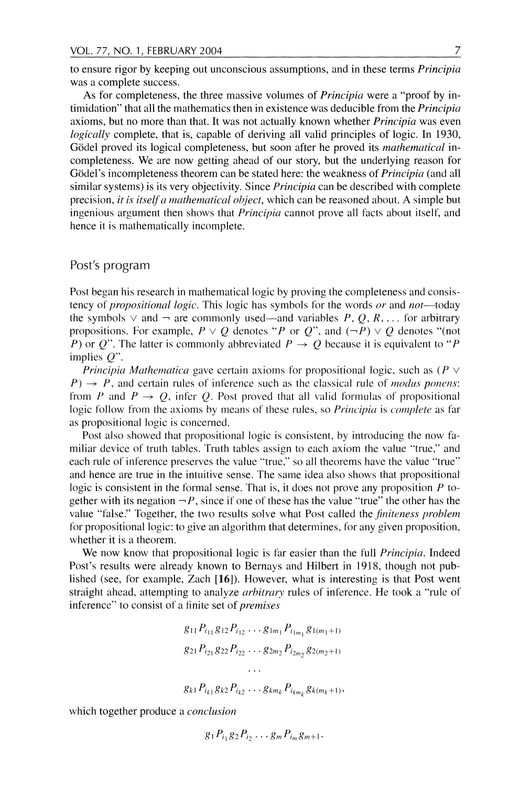**to ensure rigor by keeping out unconscious assumptions, and in these terms Principia was a complete success.** 

As for completeness, the three massive volumes of *Principia* were a "proof by in**timidation" that all the mathematics then in existence was deducible from the Principia axioms, but no more than that. It was not actually known whether Principia was even logically complete, that is, capable of deriving all valid principles of logic. In 1930,**  Gödel proved its logical completeness, but soon after he proved its *mathematical* in**completeness. We are now getting ahead of our story, but the underlying reason for Godel's incompleteness theorem can be stated here: the weakness of Principia (and all similar systems) is its very objectivity. Since Principia can be described with complete precision, it is itself a mathematical object, which can be reasoned about. A simple but ingenious argument then shows that Principia cannot prove all facts about itself, and hence it is mathematically incomplete.** 

#### **Post's program**

**Post began his research in mathematical logic by proving the completeness and consis**tency of *propositional logic*. This logic has symbols for the words or and not-today the symbols  $\vee$  and  $\neg$  are commonly used—and variables P, Q, R, ... for arbitrary **propositions.** For example,  $P \vee Q$  denotes " $P$  or  $Q$ ", and  $(\neg P) \vee Q$  denotes "(not P) or Q". The latter is commonly abbreviated  $P \rightarrow Q$  because it is equivalent to "P implies  $Q$ ".

**Principia Mathematica gave certain axioms for propositional logic, such as (** $P \vee$  $P$ )  $\rightarrow$  P, and certain rules of inference such as the classical rule of *modus ponens*: from P and  $P \rightarrow Q$ , infer Q. Post proved that all valid formulas of propositional logic follow from the axioms by means of these rules, so *Principia* is *complete* as far **as propositional logic is concerned.** 

**Post also showed that propositional logic is consistent, by introducing the now familiar device of truth tables. Truth tables assign to each axiom the value "true," and each rule of inference preserves the value "true," so all theorems have the value "true" and hence are true in the intuitive sense. The same idea also shows that propositional**  logic is consistent in the formal sense. That is, it does not prove any proposition P together with its negation  $\neg P$ , since if one of these has the value "true" the other has the value "false." Together, the two results solve what Post called the *finiteness problem* **for propositional logic: to give an algorithm that determines, for any given proposition, whether it is a theorem.** 

**We now know that propositional logic is far easier than the full Principia. Indeed Post's results were already known to Bernays and Hilbert in 1918, though not published (see, for example, Zach [16]). However, what is interesting is that Post went straight ahead, attempting to analyze arbitrary rules of inference. He took a "rule of inference" to consist of a finite set of premises** 

$$
g_{11}P_{i_{11}}g_{12}P_{i_{12}}\cdots g_{1m_1}P_{i_{1m_1}}g_{1(m_1+1)}
$$
  
\n
$$
g_{21}P_{i_{21}}g_{22}P_{i_{22}}\cdots g_{2m_2}P_{i_{2m_2}}g_{2(m_2+1)}
$$
  
\n...

 $g_{k1} P_{i_{k1}} g_{k2} P_{i_{k2}} \cdots g_{km_k} P_{i_{km_k}} g_{k(m_k+1)},$ 

**which together produce a conclusion** 

$$
g_1P_{i_1}g_2P_{i_2}\ldots g_mP_{i_m}g_{m+1}.
$$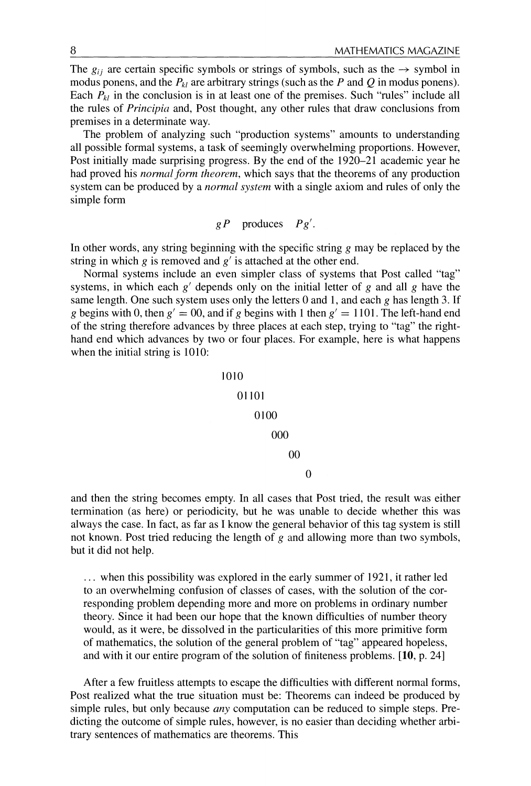The  $g_{ij}$  are certain specific symbols or strings of symbols, such as the  $\rightarrow$  symbol in modus ponens, and the  $P_{kl}$  are arbitrary strings (such as the P and Q in modus ponens). Each  $P_{kl}$  in the conclusion is in at least one of the premises. Such "rules" include all **the rules of Principia and, Post thought, any other rules that draw conclusions from premises in a determinate way.** 

**The problem of analyzing such "production systems" amounts to understanding all possible formal systems, a task of seemingly overwhelming proportions. However, Post initially made surprising progress. By the end of the 1920-21 academic year he had proved his normal form theorem, which says that the theorems of any production system can be produced by a normal system with a single axiom and rules of only the simple form** 

$$
gP
$$
 produces  $Pg'$ .

**In other words, any string beginning with the specific string g may be replaced by the string in which g is removed and g' is attached at the other end.** 

**Normal systems include an even simpler class of systems that Post called "tag" systems, in which each g' depends only on the initial letter of g and all g have the same length. One such system uses only the letters 0 and 1, and each g has length 3. If**  g begins with 0, then  $g' = 00$ , and if g begins with 1 then  $g' = 1101$ . The left-hand end **of the string therefore advances by three places at each step, trying to "tag" the righthand end which advances by two or four places. For example, here is what happens**  when the initial string is 1010:



**and then the string becomes empty. In all cases that Post tried, the result was either termination (as here) or periodicity, but he was unable to decide whether this was always the case. In fact, as far as I know the general behavior of this tag system is still not known. Post tried reducing the length of g and allowing more than two symbols, but it did not help.** 

**. . . when this possibility was explored in the early summer of 1921, it rather led to an overwhelming confusion of classes of cases, with the solution of the corresponding problem depending more and more on problems in ordinary number theory. Since it had been our hope that the known difficulties of number theory would, as it were, be dissolved in the particularities of this more primitive form of mathematics, the solution of the general problem of "tag" appeared hopeless, and with it our entire program of the solution of finiteness problems. [10, p. 24]** 

**After a few fruitless attempts to escape the difficulties with different normal forms, Post realized what the true situation must be: Theorems can indeed be produced by simple rules, but only because any computation can be reduced to simple steps. Predicting the outcome of simple rules, however, is no easier than deciding whether arbitrary sentences of mathematics are theorems. This**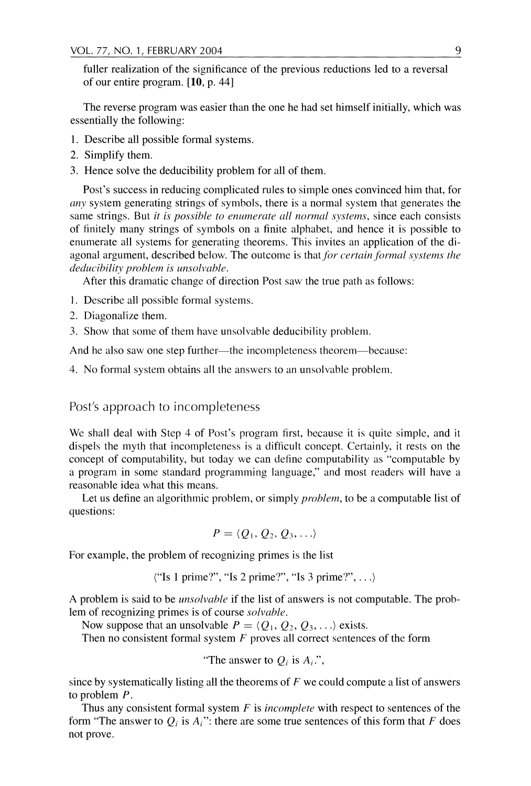**fuller realization of the significance of the previous reductions led to a reversal of our entire program. [lO, p. 44]** 

**The reverse program was easier than the one he had set himself initially, which was essentially the following:** 

- **l. Describe all possible formal systems.**
- **2. Simplify them.**
- **3. Hence solve the deducibility problem for all of them.**

**Post's success in reducing complicated rules to simple ones convinced him that, for any system generating strings of symbols, there is a normal system that generates the same strings. But it is possible to enumerate all normal systems, since each consists of finitely many strings of symbols on a finite alphabet, and hence it is possible to enumerate all systems for generating theorems. This invites an application of the diagonal argument, described below. The outcome is that for certain formal systems the deducibility problem is unsolvable.** 

**After this dramatic change of direction Post saw the true path as follows:** 

- **l. Describe all possible formal systems.**
- **2. Diagonalize them.**
- **3. Show that some of them have unsolvable deducibility problem.**

And he also saw one step further—the incompleteness theorem—because:

**4. No formal system obtains all the answers to an unsolvable problem.** 

#### **Post's approach to incompleteness**

**We shall deal with Step 4 of Post's program first, because it is quite simple, and it dispels the myth that incompleteness is a difficult concept. Certainly, it rests on the concept of computability, but today we can define computability as "computable by a program in some standard programming language," and most readers will have a reasonable idea what this means.** 

Let us define an algorithmic problem, or simply *problem*, to be a computable list of **questions:** 

$$
P = \langle Q_1, Q_2, Q_3, \ldots \rangle
$$

**For example, the problem of recognizing primes is the list** 

**("Is l prime?", "Is 2 prime?", "Is 3 prime?", .. .)** 

**A problem is said to be unsolvable if the list of answers is not computable. The problem of recognizing primes is of course solvable.** 

Now suppose that an unsolvable  $P = \langle Q_1, Q_2, Q_3, \ldots \rangle$  exists.

**Then no consistent formal system F proves all correct sentences of the form** 

**"The answer to**  $Q_i$  **is**  $A_i$ **.",** 

**since by systematically listing all the theorems of F we could compute a list of answers to problem P.** 

**Thus any consistent formal system F is incomplete with respect to sentences of the**  form "The answer to  $Q_i$  is  $A_i$ ": there are some true sentences of this form that F does **not prove.**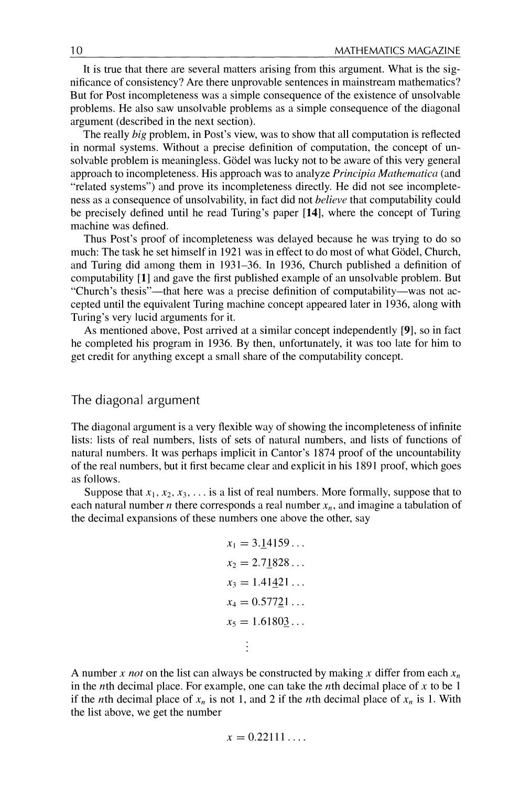**It is true that there are several matters arising from this argument. What is the significance of consistency? Are there unprovable sentences in mainstream mathematics? But for Post incompleteness was a simple consequence of the existence of unsolvable problems. He also saw unsolvable problems as a simple consequence of the diagonal argument (described in the next section).** 

**The really big problem, in Post's view, was to show that all computation is reflected in normal systems. Without a precise definition of computation, the concept of un**solvable problem is meaningless. Gödel was lucky not to be aware of this very general **approach to incompleteness. His approach was to analyze Principia Mathematica (and "related systems") and prove its incompleteness directly. He did not see incompleteness as a consequence of unsolvability, in fact did not believe that computability could be precisely defined until he read Turing's paper [14], where the concept of Turing machine was defined.** 

**Thus Post's proof of incompleteness was delayed because he was trying to do so**  much: The task he set himself in 1921 was in effect to do most of what Gödel, Church, **and Turing did among them in 1931-36. In 1936, Church published a definition of computability [1] and gave the first published example of an unsolvable problem. But**  "Church's thesis"—that here was a precise definition of computability—was not ac**cepted until the equivalent Turing machine concept appeared later in 1936, along with Turing's very lucid arguments for it.** 

**As mentioned above, Post arrived at a similar concept independently [9], so in fact he completed his program in 1936. By then, unfortunately, itwas too late for him to get credit for anything except a small share of the computability concept.** 

# **The diagonal argument**

**The diagonal argument is a very flexible way of showing the incompleteness of infinite lists: lists of real numbers, lists of sets of natural numbers, and lists of functions of natural numbers. It was perhaps implicit in Cantor's 1874 proof of the uncountability of the real numbers, but it first became clear and explicit in his 1891 proof, which goes as follows.** 

Suppose that  $x_1, x_2, x_3, \ldots$  is a list of real numbers. More formally, suppose that to each natural number *n* there corresponds a real number  $x_n$ , and imagine a tabulation of **the decimal expansions of these numbers one above the other, say** 

$$
x_1 = 3.14159...
$$
  
\n
$$
x_2 = 2.71828...
$$
  
\n
$$
x_3 = 1.41421...
$$
  
\n
$$
x_4 = 0.57721...
$$
  
\n
$$
x_5 = 1.61802...
$$
  
\n
$$
\vdots
$$

A number x not on the list can always be constructed by making x differ from each  $x_n$ in the *n*th decimal place. For example, one can take the *n*th decimal place of  $x$  to be 1 if the *n*th decimal place of  $x_n$  is not 1, and 2 if the *n*th decimal place of  $x_n$  is 1. With **the list above, we get the number**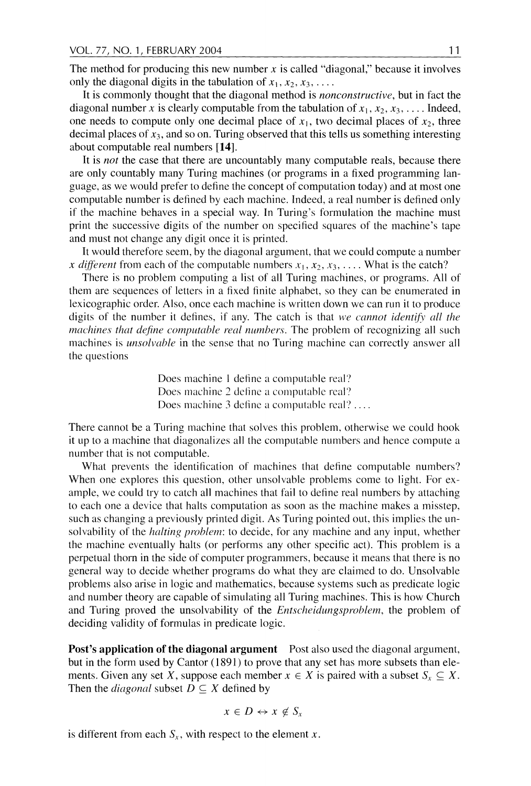The method for producing this new number  $x$  is called "diagonal," because it involves only the diagonal digits in the tabulation of  $x_1, x_2, x_3, \ldots$ 

**It is commonly thought that the diagonal method is nonconstructive, but in fact the**  diagonal number x is clearly computable from the tabulation of  $x_1, x_2, x_3, \ldots$ . Indeed, one needs to compute only one decimal place of  $x_1$ , two decimal places of  $x_2$ , three **decimal places of X3, and so on. Turing observed that this tells us something interesting about computable real numbers [14].** 

**It is not the case that there are uncountably many computable reals, because there are only countably many Turing machines (or programs in a fixed programming language, as we would prefer to define the concept of computation today) and at most one computable number is defined by each machine. Indeed, a real number is defined only if the machine behaves in a special way. In Turing's formulation the machine must print the successive digits of the number on specified squares of the machine's tape and must not change any digit once it is printed.** 

**It would therefore seem, by the diagonal argument, that we could compute a number**  *x* different from each of the computable numbers  $x_1, x_2, x_3, \ldots$  What is the catch?

**There is no problem computing a list of all Turing machines, or programs. All of them are sequences of letters in a fixed finite alphabet, so they can be enumerated in lexicographic order. Also, once each machine is written down we can run it to produce digits of the number it defines, if any. The catch is that we cannot identify all the machines that define computable real numbers. The problem of recognizing all such**  machines is *unsolvable* in the sense that no Turing machine can correctly answer all **the questions** 

> **Does machine l define a cornputable real?**  Does machine 2 define a computable real? Does machine 3 define a computable real? ....

**There cannot be a Turing machine that solves this problem, otherwise we could hook**  it up to a machine that diagonalizes all the computable numbers and hence compute a **number that is not computable.** 

**What prevents the identification of machines that define computable numbers? When one explores this question, other unsolvable problems come to light. For example, we could try to catch all machines that fail to define real numbers by attaching to each one a device that halts computation as soon as the machine makes a misstep, such as changing a previously printed digit. As Turing pointed out, this implies the un**solvability of the *halting problem*: to decide, for any machine and any input, whether **the machine eventually halts (or performs any other specific act). This problem is a perpetual thorn in the side of computer programmers, because it means that there is no general way to decide whether programs do what they are claimed to do. Unsolvable problems also arise in logic and mathematics, because systems such as predicate logic and number theory are capable of simulating all Turing machines. This is how Church and Turing proved the unsolvability of the Entscheidungsproblem, the problem of deciding validity of formulas in predicate logic.** 

**Post's application of the diagonal argument** Post also used the diagonal argument, **but in the form used by Cantor (1891) to prove that any set has more subsets than elements.** Given any set X, suppose each member  $x \in X$  is paired with a subset  $S_x \subseteq X$ . Then the *diagonal* subset  $D \subseteq X$  defined by

$$
x \in D \leftrightarrow x \notin S_x
$$

is different from each  $S_x$ , with respect to the element x.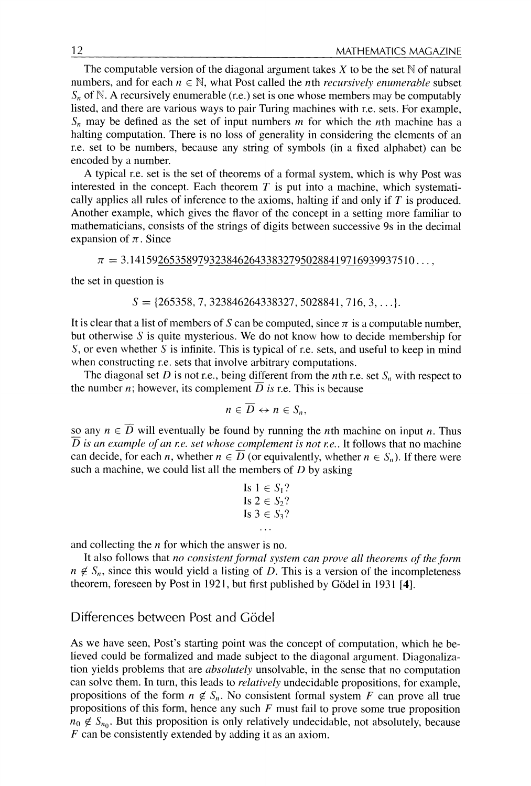The computable version of the diagonal argument takes  $X$  to be the set  $\mathbb N$  of natural **numbers, and for each**  $n \in \mathbb{N}$ **, what Post called the** *nth recursively enumerable* **subset**  $S_n$  of N. A recursively enumerable (r.e.) set is one whose members may be computably **listed, and there are various ways to pair Turing machines with r.e. sets. For example,**   $S_n$  may be defined as the set of input numbers m for which the nth machine has a **halting computation. There is no loss of generality in considering the elements of an r.e. set to be numbers, because any string of symbols (in a fixed alphabet) can be encoded by a number. 12** 

**A typical r.e. set is the set of theorems of a formal system, which is why Post was interested in the concept. Each theorem T is put into a machine, which systemati**cally applies all rules of inference to the axioms, halting if and only if  $T$  is produced. **Another example, which gives the flavor of the concept in a setting more familiar to mathematicians, consists of the strings of digits between successive 9s in the decimal**  expansion of  $\pi$ . Since

 $\pi = 3.14159265358979323846264338327950288419716939937510...$ 

**the set in question is** 

**S = {265358, 7, 323846264338327, 5028841, 716, 3, . . .}.** 

It is clear that a list of members of S can be computed, since  $\pi$  is a computable number, **but otherwise S is quite mysterious. We do not know how to decide membership for S, or even whether S is infinite. This is typical of r.e. sets, and useful to keep in mind when constructing r.e. sets that involve arbitrary computations.** 

The diagonal set  $D$  is not r.e., being different from the *n*th r.e. set  $S_n$  with respect to the number  $n$ ; however, its complement  $\overline{D}$  is r.e. This is because

$$
n\in\overline{D}\leftrightarrow n\in S_n,
$$

so any  $n \in \overline{D}$  will eventually be found by running the *n*th machine on input *n*. Thus **D** is an example of an r.e. set whose complement is not r.e.. It follows that no machine can decide, for each *n*, whether  $n \in \overline{D}$  (or equivalently, whether  $n \in S_n$ ). If there were **such a machine, we could list all the members of D by asking** 

Is 
$$
1 \in S_1
$$
?  
Is  $2 \in S_2$ ?  
Is  $3 \in S_3$ ?

**and collecting the n for which the answer is no.** 

**It also follows that no consistent formal system can prove all theorems of the form**   $n \notin S_n$ , since this would yield a listing of D. This is a version of the incompleteness theorem, foreseen by Post in 1921, but first published by Gödel in 1931 [4].

## **Differences between Post and Gödel**

**As we have seen, Post's starting point was the concept of computation, which he believed could be formalized and made subject to the diagonal argument. Diagonalization yields problems that are absolutely unsolvable, in the sense that no computation can solve them. In turn, this leads to relatively undecidable propositions, for example,**  propositions of the form  $n \notin S_n$ . No consistent formal system F can prove all true **propositions of this form, hence any such F must fail to prove some true proposition**   $n_0 \notin S_{n_0}$ . But this proposition is only relatively undecidable, not absolutely, because **F can be consistently extended by adding it as an axiom.**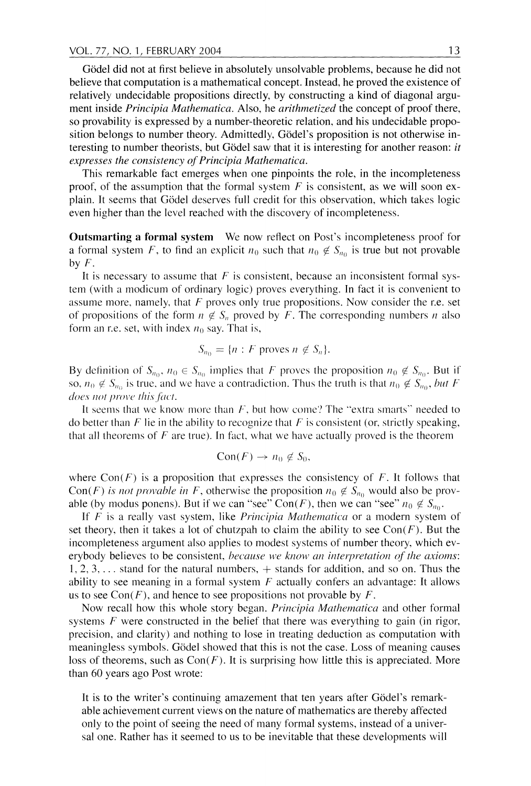**Godel did not at first believe in absolutely unsolvable problems, because he did not believe that computation is a mathematical concept. Instead, he proved the existence of relatively undecidable propositions directly, by constructing a kind of diagonal argument inside Principia Mathematica. Also, he arithmetized the concept of proof there, so provability is expressed by a number-theoretic relation, and his undecidable proposition belongs to number theory. Admittedly, Godel's proposition is not otherwise interesting to number theorists, but Godel saw that it is interesting for another reason: it expresses the consistency of Principia Mathematica.** 

**This remarkable fact emerges when one pinpoints the role, in the incompleteness proof, of the assumption that the formal system F is consistent, as we will soon explain. It seems that Godel deserves full credit for this observation, which takes logic even higher than the level reached with the discovery of incompleteness.** 

**Outsmarting a formal system We now reflect on Post's incompleteness proof for a** formal system F, to find an explicit  $n_0$  such that  $n_0 \notin S_{n_0}$  is true but not provable **. ny r.** 

**It is necessary to assume that F is consistent, because an inconsistent formal system (with a modicum of ordinary logic) proves everything. In fact it is convenient to assume more, namely, that F proves only true propositions. Now consider the r.e. set**  of propositions of the form  $n \notin S_n$  proved by F. The corresponding numbers *n* also form an r.e. set, with index  $n_0$  say. That is,

$$
S_{n_0} = \{n : F \text{ proves } n \notin S_n\}.
$$

By definition of  $S_{n_0}$ ,  $n_0 \in S_{n_0}$  implies that F proves the proposition  $n_0 \notin S_{n_0}$ . But if **so,**  $n_0 \notin S_{n_0}$  is true, and we have a contradiction. Thus the truth is that  $n_0 \notin S_{n_0}$ , but F does not prove this fact.

It seems that we know more than  $F$ , but how come? The "extra smarts" needed to do better than  $F$  lie in the ability to recognize that  $F$  is consistent (or, strictly speaking, that all theorems of  $F$  are true). In fact, what we have actually proved is the theorem

$$
\text{Con}(F) \to n_0 \notin S_0,
$$

where  $Con(F)$  is a proposition that expresses the consistency of  $F$ . It follows that  $Con(F)$  *is not provable in* F, otherwise the proposition  $n_0 \notin S_{n_0}$  would also be provable (by modus ponens). But if we can "see" Con(F), then we can "see"  $n_0 \notin S_{n_0}$ .

**If F** is a really vast system, like *Principia Mathematica* or a modern system of set theory, then it takes a lot of chutzpah to claim the ability to see  $Con(F)$ . But the **incompleteness argument also applies to modest systems of number theory, which everybody believes to be consistent, because we know an interpretation of the axioms: 1, 2, 3, . . . stand for the natural numbers, + stands for addition, and so on. Thus the ability to see meaning in a formal system F actually confers an advantage: It allows**  us to see Con( $F$ ), and hence to see propositions not provable by  $F$ .

Now recall how this whole story began. *Principia Mathematica* and other formal **systems F were constructed in the belief that there was everything to gain (in rigor, precision, and clarity) and nothing to lose in treating deduction as computation with meaningless symbols. Godel showed that this is not the case. Loss of meaning causes**  loss of theorems, such as  $Con(F)$ . It is surprising how little this is appreciated. More **than 60 years ago Post wrote:** 

It is to the writer's continuing amazement that ten years after Gödel's remark**able achievement current views on the nature of mathematics are thereby affected only to the point of seeing the need of many formal systems, instead of a universal one. Rather has it seemed to us to be inevitable that these developments will**